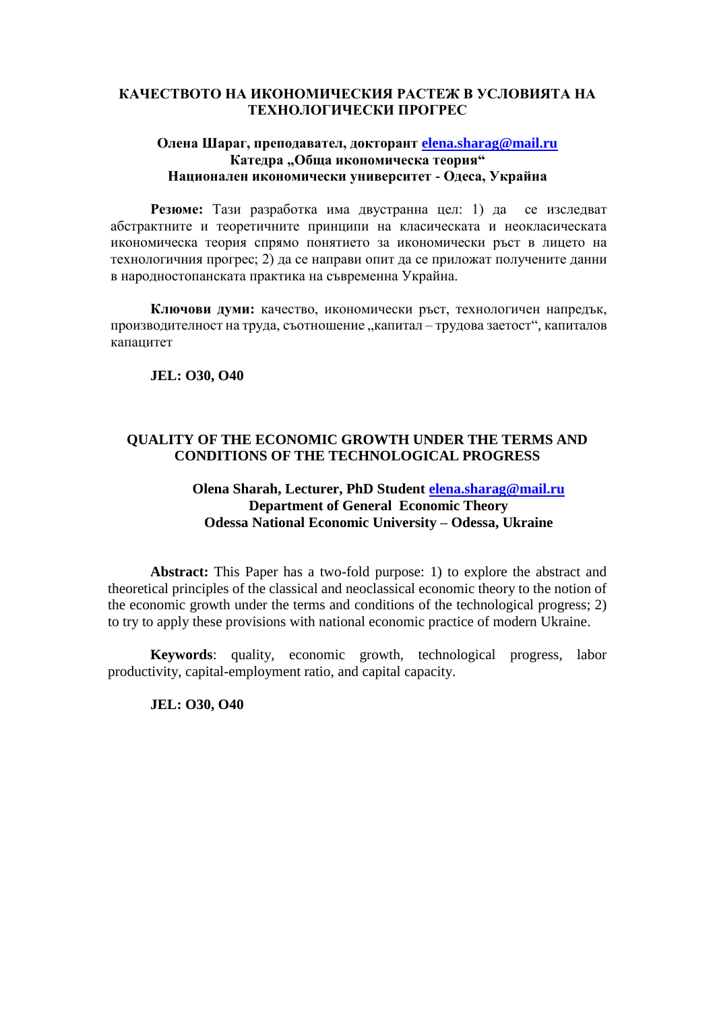## **КАЧЕСТВОТО НА ИКОНОМИЧЕСКИЯ РАСТЕЖ В УСЛОВИЯТА НА ТЕХНОЛОГИЧЕСКИ ПРОГРЕС**

#### **Олена Шараг, преподавател, докторант [elena.sharag@mail.ru](mailto:elena.sharag@mail.ru) Катедра "Обща икономическа теория" Национален икономически университет - Одеса, Украйна**

**Резюме:** Тази разработка има двустранна цел: 1) да се изследват абстрактните и теоретичните принципи на класическата и неокласическата икономическа теория спрямо понятието за икономически ръст в лицето на технологичния прогрес; 2) да се направи опит да се приложат получените данни в народностопанската практика на съвременна Украйна.

**Ключови думи:** качество, икономически ръст, технологичен напредък, производителност на труда, съотношение "капитал – трудова заетост", капиталов капацитет

**JEL: O30, O40**

### **QUALITY OF THE ECONOMIC GROWTH UNDER THE TERMS AND CONDITIONS OF THE TECHNOLOGICAL PROGRESS**

## **Olena Sharah, Lecturer, PhD Student [elena.sharag@mail.ru](mailto:elena.sharag@mail.ru) Department of General Economic Theory Odessa National Economic University – Odessa, Ukraine**

**Abstract:** This Paper has a two-fold purpose: 1) to explore the abstract and theoretical principles of the classical and neoclassical economic theory to the notion of the economic growth under the terms and conditions of the technological progress; 2) to try to apply these provisions with national economic practice of modern Ukraine.

**Keywords**: quality, economic growth, technological progress, labor productivity, capital-employment ratio, and capital capacity.

### **JEL: O30, O40**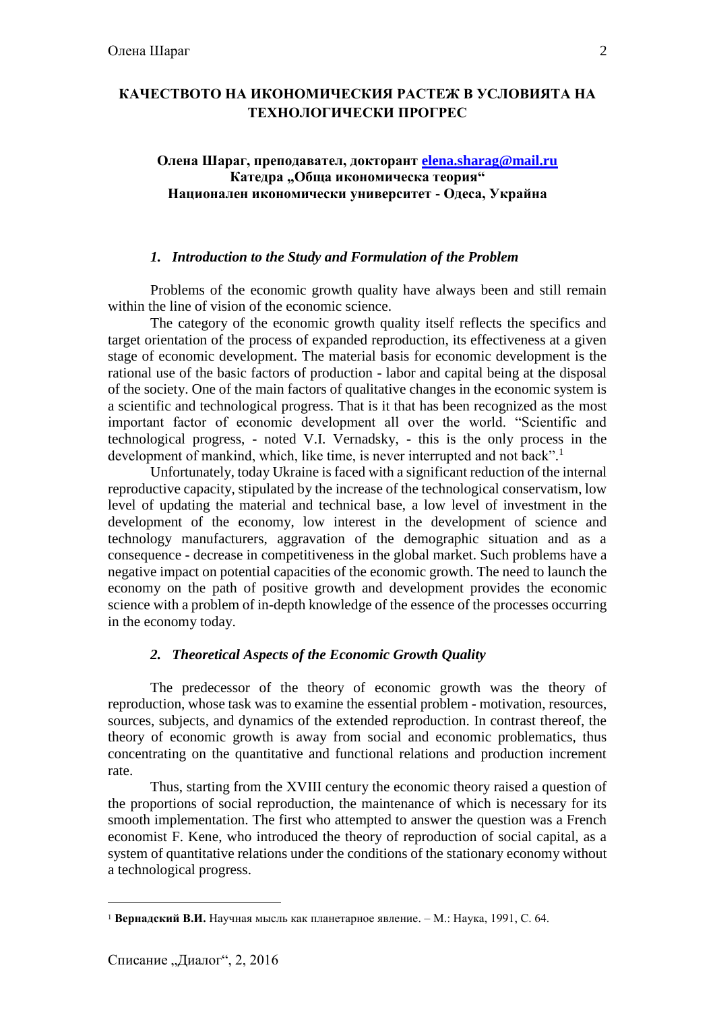# **КАЧЕСТВОТО НА ИКОНОМИЧЕСКИЯ РАСТЕЖ В УСЛОВИЯТА НА ТЕХНОЛОГИЧЕСКИ ПРОГРЕС**

### **Олена Шараг, преподавател, докторант [elena.sharag@mail.ru](mailto:elena.sharag@mail.ru)** Катедра "Обща икономическа теория" **Национален икономически университет - Одеса, Украйна**

#### *1. Introduction to the Study and Formulation of the Problem*

Problems of the economic growth quality have always been and still remain within the line of vision of the economic science.

The category of the economic growth quality itself reflects the specifics and target orientation of the process of expanded reproduction, its effectiveness at a given stage of economic development. The material basis for economic development is the rational use of the basic factors of production - labor and capital being at the disposal of the society. One of the main factors of qualitative changes in the economic system is a scientific and technological progress. That is it that has been recognized as the most important factor of economic development all over the world. "Scientific and technological progress, - noted V.I. Vernadsky, - this is the only process in the development of mankind, which, like time, is never interrupted and not back".<sup>1</sup>

Unfortunately, today Ukraine is faced with a significant reduction of the internal reproductive capacity, stipulated by the increase of the technological conservatism, low level of updating the material and technical base, a low level of investment in the development of the economy, low interest in the development of science and technology manufacturers, aggravation of the demographic situation and as a consequence - decrease in competitiveness in the global market. Such problems have a negative impact on potential capacities of the economic growth. The need to launch the economy on the path of positive growth and development provides the economic science with a problem of in-depth knowledge of the essence of the processes occurring in the economy today.

### *2. Theoretical Aspects of the Economic Growth Quality*

The predecessor of the theory of economic growth was the theory of reproduction, whose task was to examine the essential problem - motivation, resources, sources, subjects, and dynamics of the extended reproduction. In contrast thereof, the theory of economic growth is away from social and economic problematics, thus concentrating on the quantitative and functional relations and production increment rate.

Thus, starting from the ХVIII century the economic theory raised a question of the proportions of social reproduction, the maintenance of which is necessary for its smooth implementation. The first who attempted to answer the question was a French economist F. Kene, who introduced the theory of reproduction of social capital, as a system of quantitative relations under the conditions of the stationary economy without a technological progress.

<sup>1</sup> **Вернадский В.И.** Научная мысль как планетарное явление. – М.: Наука, 1991, С. 64.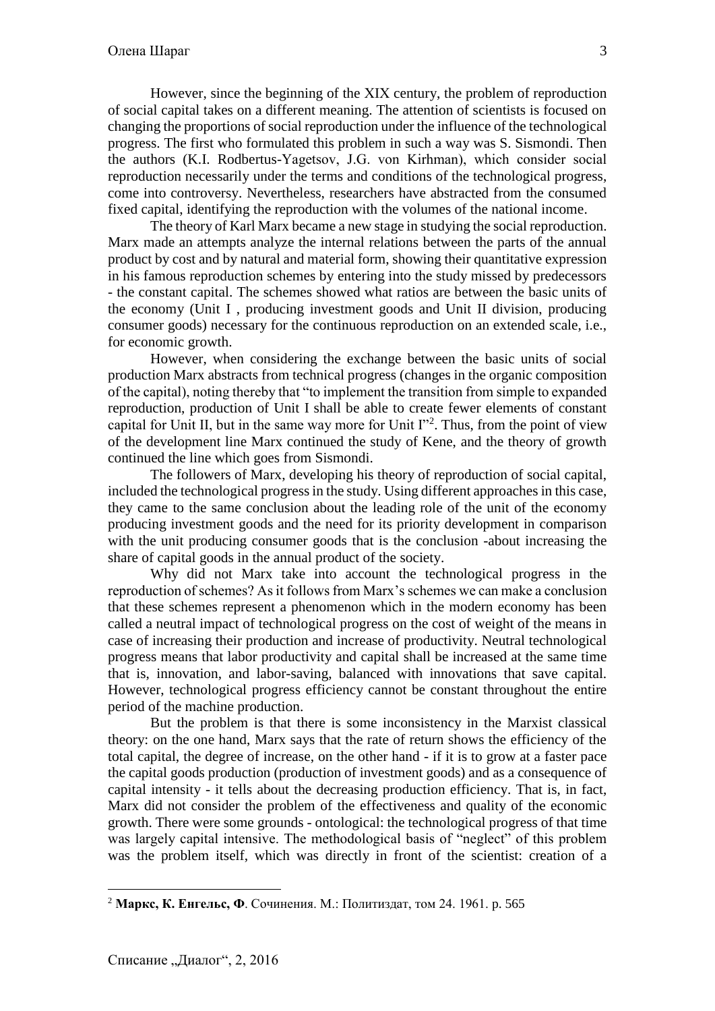However, since the beginning of the ХIХ century, the problem of reproduction of social capital takes on a different meaning. The attention of scientists is focused on changing the proportions of social reproduction under the influence of the technological progress. The first who formulated this problem in such a way was S. Sismondi. Then the authors (K.I. Rodbertus-Yagetsov, J.G. von Kіrhman), which consider social reproduction necessarily under the terms and conditions of the technological progress, come into controversy. Nevertheless, researchers have abstracted from the consumed fixed capital, identifying the reproduction with the volumes of the national income.

The theory of Karl Marx became a new stage in studying the social reproduction. Marx made an attempts analyze the internal relations between the parts of the annual product by cost and by natural and material form, showing their quantitative expression in his famous reproduction schemes by entering into the study missed by predecessors - the constant capital. The schemes showed what ratios are between the basic units of the economy (Unit I , producing investment goods and Unit II division, producing consumer goods) necessary for the continuous reproduction on an extended scale, i.e., for economic growth.

However, when considering the exchange between the basic units of social production Marx abstracts from technical progress (changes in the organic composition of the capital), noting thereby that "to implement the transition from simple to expanded reproduction, production of Unit I shall be able to create fewer elements of constant capital for Unit II, but in the same way more for Unit  $\Gamma$ <sup>2</sup>. Thus, from the point of view of the development line Marx continued the study of Kene, and the theory of growth continued the line which goes from Sismondi.

The followers of Marx, developing his theory of reproduction of social capital, included the technological progress in the study. Using different approaches in this case, they came to the same conclusion about the leading role of the unit of the economy producing investment goods and the need for its priority development in comparison with the unit producing consumer goods that is the conclusion -about increasing the share of capital goods in the annual product of the society.

Why did not Marx take into account the technological progress in the reproduction of schemes? As it follows from Marx's schemes we can make a conclusion that these schemes represent a phenomenon which in the modern economy has been called a neutral impact of technological progress on the cost of weight of the means in case of increasing their production and increase of productivity. Neutral technological progress means that labor productivity and capital shall be increased at the same time that is, innovation, and labor-saving, balanced with innovations that save capital. However, technological progress efficiency cannot be constant throughout the entire period of the machine production.

But the problem is that there is some inconsistency in the Marxist classical theory: on the one hand, Marx says that the rate of return shows the efficiency of the total capital, the degree of increase, on the other hand - if it is to grow at a faster pace the capital goods production (production of investment goods) and as a consequence of capital intensity - it tells about the decreasing production efficiency. That is, in fact, Marx did not consider the problem of the effectiveness and quality of the economic growth. There were some grounds - ontological: the technological progress of that time was largely capital intensive. The methodological basis of "neglect" of this problem was the problem itself, which was directly in front of the scientist: creation of a

 $\overline{a}$ 

<sup>2</sup> **Маркс, К. Енгельс, Ф**. Сочинения. М.: Политиздат, том 24. 1961. p. 565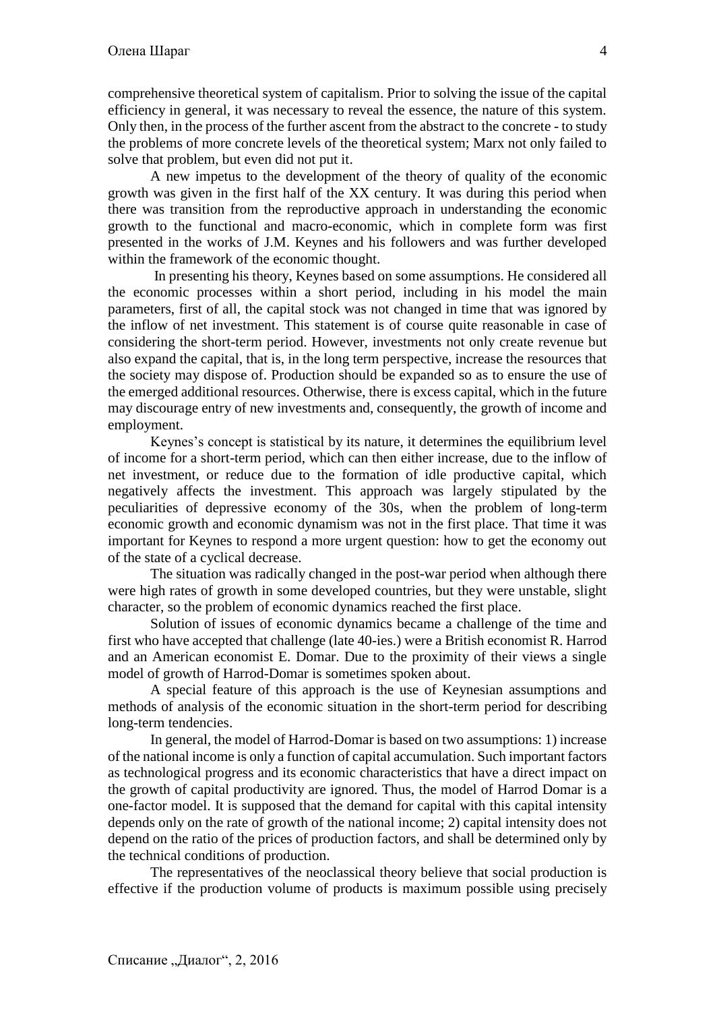comprehensive theoretical system of capitalism. Prior to solving the issue of the capital efficiency in general, it was necessary to reveal the essence, the nature of this system. Only then, in the process of the further ascent from the abstract to the concrete - to study the problems of more concrete levels of the theoretical system; Marx not only failed to solve that problem, but even did not put it.

A new impetus to the development of the theory of quality of the economic growth was given in the first half of the XX century. It was during this period when there was transition from the reproductive approach in understanding the economic growth to the functional and macro-economic, which in complete form was first presented in the works of J.M. Keynes and his followers and was further developed within the framework of the economic thought.

In presenting his theory, Keynes based on some assumptions. He considered all the economic processes within a short period, including in his model the main parameters, first of all, the capital stock was not changed in time that was ignored by the inflow of net investment. This statement is of course quite reasonable in case of considering the short-term period. However, investments not only create revenue but also expand the capital, that is, in the long term perspective, increase the resources that the society may dispose of. Production should be expanded so as to ensure the use of the emerged additional resources. Otherwise, there is excess capital, which in the future may discourage entry of new investments and, consequently, the growth of income and employment.

Keynes's concept is statistical by its nature, it determines the equilibrium level of income for a short-term period, which can then either increase, due to the inflow of net investment, or reduce due to the formation of idle productive capital, which negatively affects the investment. This approach was largely stipulated by the peculiarities of depressive economy of the 30s, when the problem of long-term economic growth and economic dynamism was not in the first place. That time it was important for Keynes to respond a more urgent question: how to get the economy out of the state of a cyclical decrease.

The situation was radically changed in the post-war period when although there were high rates of growth in some developed countries, but they were unstable, slight character, so the problem of economic dynamics reached the first place.

Solution of issues of economic dynamics became a challenge of the time and first who have accepted that challenge (late 40-ies.) were a British economist R. Harrod and an American economist E. Domar. Due to the proximity of their views a single model of growth of Harrod-Domar is sometimes spoken about.

A special feature of this approach is the use of Keynesian assumptions and methods of analysis of the economic situation in the short-term period for describing long-term tendencies.

In general, the model of Harrod-Domar is based on two assumptions: 1) increase of the national income is only a function of capital accumulation. Such important factors as technological progress and its economic characteristics that have a direct impact on the growth of capital productivity are ignored. Thus, the model of Harrod Domar is a one-factor model. It is supposed that the demand for capital with this capital intensity depends only on the rate of growth of the national income; 2) capital intensity does not depend on the ratio of the prices of production factors, and shall be determined only by the technical conditions of production.

The representatives of the neoclassical theory believe that social production is effective if the production volume of products is maximum possible using precisely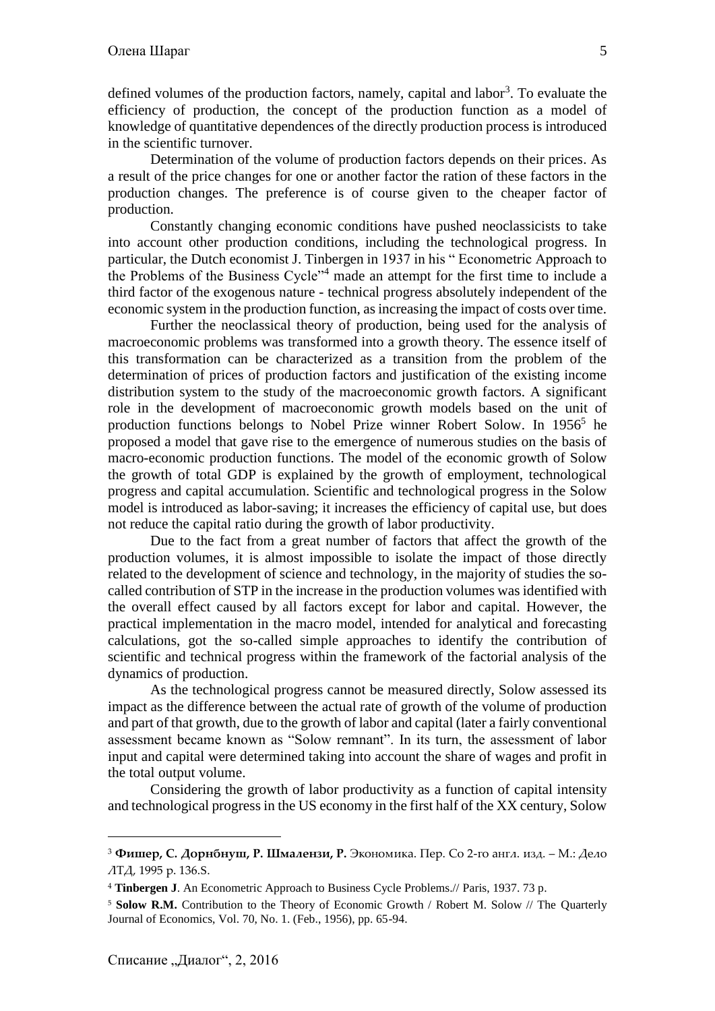Determination of the volume of production factors depends on their prices. As a result of the price changes for one or another factor the ration of these factors in the production changes. The preference is of course given to the cheaper factor of production.

Constantly changing economic conditions have pushed neoclassicists to take into account other production conditions, including the technological progress. In particular, the Dutch economist J. Tinbergen in 1937 in his " Econometric Approach to the Problems of the Business Cycle"<sup>4</sup> made an attempt for the first time to include a third factor of the exogenous nature - technical progress absolutely independent of the economic system in the production function, as increasing the impact of costs over time.

Further the neoclassical theory of production, being used for the analysis of macroeconomic problems was transformed into a growth theory. The essence itself of this transformation can be characterized as a transition from the problem of the determination of prices of production factors and justification of the existing income distribution system to the study of the macroeconomic growth factors. A significant role in the development of macroeconomic growth models based on the unit of production functions belongs to Nobel Prize winner Robert Solow. In 1956<sup>5</sup> he proposed a model that gave rise to the emergence of numerous studies on the basis of macro-economic production functions. The model of the economic growth of Solow the growth of total GDP is explained by the growth of employment, technological progress and capital accumulation. Scientific and technological progress in the Solow model is introduced as labor-saving; it increases the efficiency of capital use, but does not reduce the capital ratio during the growth of labor productivity.

Due to the fact from a great number of factors that affect the growth of the production volumes, it is almost impossible to isolate the impact of those directly related to the development of science and technology, in the majority of studies the socalled contribution of STP in the increase in the production volumes was identified with the overall effect caused by all factors except for labor and capital. However, the practical implementation in the macro model, intended for analytical and forecasting calculations, got the so-called simple approaches to identify the contribution of scientific and technical progress within the framework of the factorial analysis of the dynamics of production.

As the technological progress cannot be measured directly, Solow assessed its impact as the difference between the actual rate of growth of the volume of production and part of that growth, due to the growth of labor and capital (later a fairly conventional assessment became known as "Solow remnant". In its turn, the assessment of labor input and capital were determined taking into account the share of wages and profit in the total output volume.

Considering the growth of labor productivity as a function of capital intensity and technological progress in the US economy in the first half of the XX century, Solow

<sup>3</sup> **Фишер, С. Дорнбнуш, Р. Шмалензи, Р.** Экономика. Пер. Со 2-го англ. изд. – М.: Дело ЛТД, 1995 p. 136.S.

<sup>4</sup> **Tinbergen J**. An Econometric Approach to Business Cycle Problems.// Paris, 1937. 73 p.

<sup>&</sup>lt;sup>5</sup> **Solow R.M.** Contribution to the Theory of Economic Growth / Robert M. Solow // The Quarterly Journal of Economics, Vol. 70, No. 1. (Feb., 1956), pp. 65-94.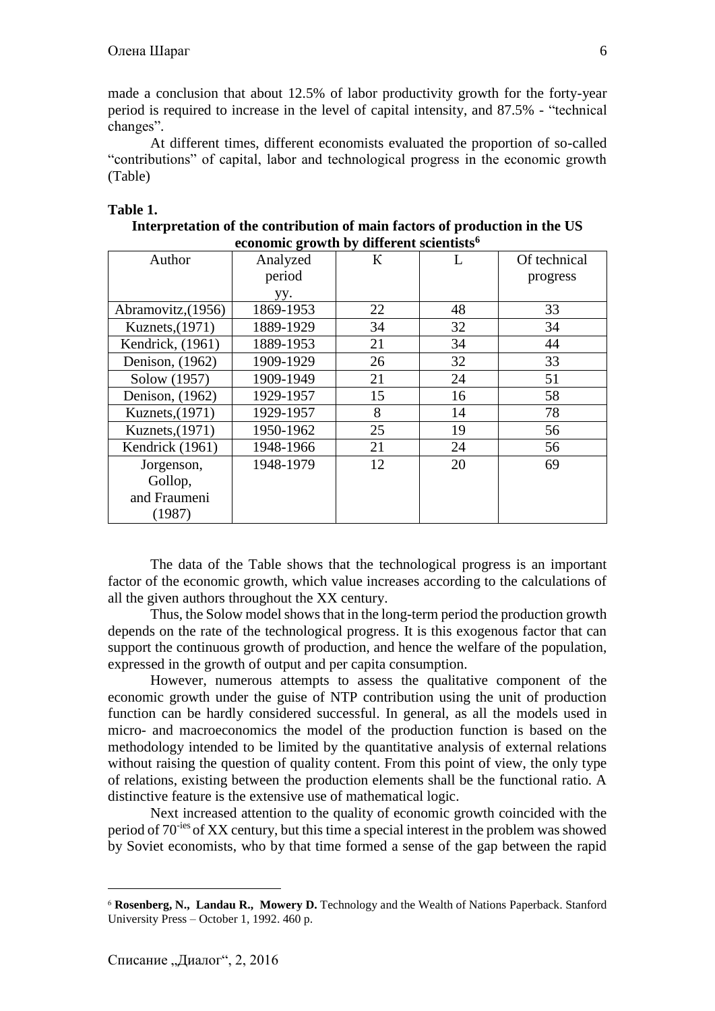made a conclusion that about 12.5% of labor productivity growth for the forty-year period is required to increase in the level of capital intensity, and 87.5% - "technical changes".

At different times, different economists evaluated the proportion of so-called "contributions" of capital, labor and technological progress in the economic growth (Table)

## **Table 1.**

| Interpretation of the contribution of main factors of production in the US |
|----------------------------------------------------------------------------|
| economic growth by different scientists <sup>6</sup>                       |

| Author             | Analyzed  | К  |    | Of technical |
|--------------------|-----------|----|----|--------------|
|                    | period    |    |    | progress     |
|                    | yy.       |    |    |              |
| Abramovitz, (1956) | 1869-1953 | 22 | 48 | 33           |
| Kuznets, (1971)    | 1889-1929 | 34 | 32 | 34           |
| Kendrick, (1961)   | 1889-1953 | 21 | 34 | 44           |
| Denison, (1962)    | 1909-1929 | 26 | 32 | 33           |
| Solow (1957)       | 1909-1949 | 21 | 24 | 51           |
| Denison, (1962)    | 1929-1957 | 15 | 16 | 58           |
| Kuznets, (1971)    | 1929-1957 | 8  | 14 | 78           |
| Kuznets, (1971)    | 1950-1962 | 25 | 19 | 56           |
| Kendrick (1961)    | 1948-1966 | 21 | 24 | 56           |
| Jorgenson,         | 1948-1979 | 12 | 20 | 69           |
| Gollop,            |           |    |    |              |
| and Fraumeni       |           |    |    |              |
| (1987)             |           |    |    |              |

The data of the Table shows that the technological progress is an important factor of the economic growth, which value increases according to the calculations of all the given authors throughout the XX century.

Thus, the Solow model shows that in the long-term period the production growth depends on the rate of the technological progress. It is this exogenous factor that can support the continuous growth of production, and hence the welfare of the population, expressed in the growth of output and per capita consumption.

However, numerous attempts to assess the qualitative component of the economic growth under the guise of NTP contribution using the unit of production function can be hardly considered successful. In general, as all the models used in micro- and macroeconomics the model of the production function is based on the methodology intended to be limited by the quantitative analysis of external relations without raising the question of quality content. From this point of view, the only type of relations, existing between the production elements shall be the functional ratio. A distinctive feature is the extensive use of mathematical logic.

Next increased attention to the quality of economic growth coincided with the period of 70-ies of XX century, but this time a special interest in the problem was showed by Soviet economists, who by that time formed a sense of the gap between the rapid

<sup>6</sup> **[Rosenberg,](http://www.amazon.com/s/ref=dp_byline_sr_book_1?ie=UTF8&field-author=Nathan+Rosenberg&search-alias=books&text=Nathan+Rosenberg&sort=relevancerank) N., [Landau](http://www.amazon.com/s/ref=dp_byline_sr_book_2?ie=UTF8&field-author=Ralph+Landau&search-alias=books&text=Ralph+Landau&sort=relevancerank) R., [Mowery](http://www.amazon.com/s/ref=dp_byline_sr_book_3?ie=UTF8&field-author=David+Mowery&search-alias=books&text=David+Mowery&sort=relevancerank) D.** Technology and the Wealth of Nations Paperback. Stanford University Press – October 1, 1992. 460 p.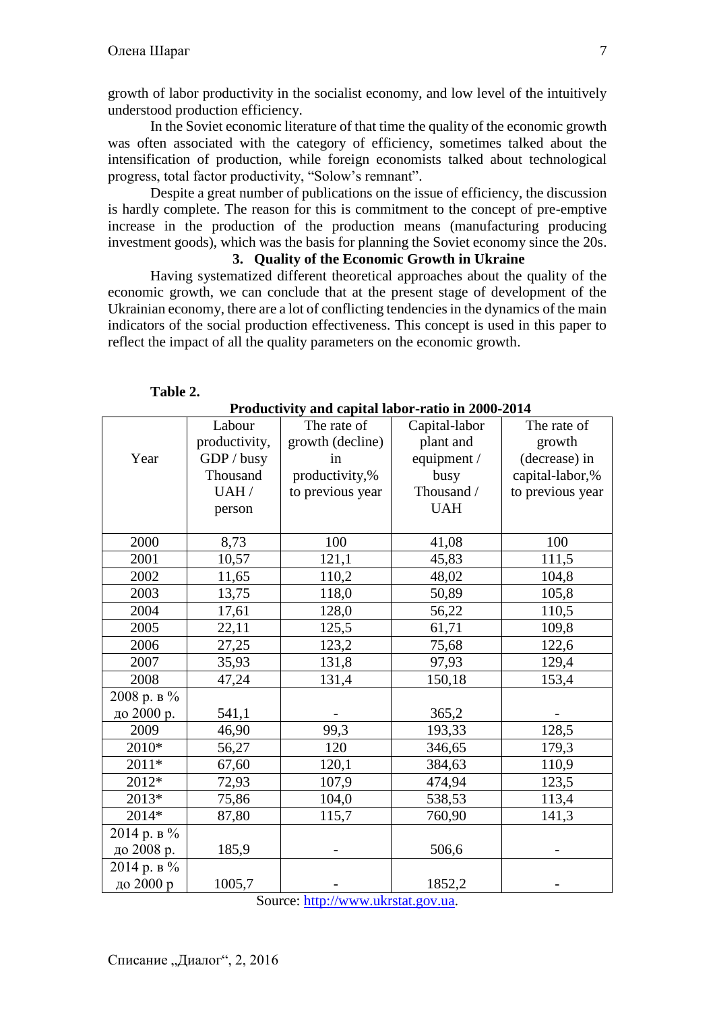growth of labor productivity in the socialist economy, and low level of the intuitively understood production efficiency.

In the Soviet economic literature of that time the quality of the economic growth was often associated with the category of efficiency, sometimes talked about the intensification of production, while foreign economists talked about technological progress, total factor productivity, "Solow's remnant".

Despite a great number of publications on the issue of efficiency, the discussion is hardly complete. The reason for this is commitment to the concept of pre-emptive increase in the production of the production means (manufacturing producing investment goods), which was the basis for planning the Soviet economy since the 20s.

# **3. Quality of the Economic Growth in Ukraine**

Having systematized different theoretical approaches about the quality of the economic growth, we can conclude that at the present stage of development of the Ukrainian economy, there are a lot of conflicting tendencies in the dynamics of the main indicators of the social production effectiveness. This concept is used in this paper to reflect the impact of all the quality parameters on the economic growth.

| т годиситну ани сарнагтарог-гано нг 2000-2014 |               |                  |               |                  |  |  |  |
|-----------------------------------------------|---------------|------------------|---------------|------------------|--|--|--|
|                                               | Labour        | The rate of      | Capital-labor | The rate of      |  |  |  |
|                                               | productivity, | growth (decline) | plant and     | growth           |  |  |  |
| Year                                          | GDP / busy    | in               | equipment /   | (decrease) in    |  |  |  |
|                                               | Thousand      | productivity,%   | busy          | capital-labor,%  |  |  |  |
|                                               | UAH/          | to previous year | Thousand /    | to previous year |  |  |  |
|                                               | person        |                  | <b>UAH</b>    |                  |  |  |  |
|                                               |               |                  |               |                  |  |  |  |
| 2000                                          | 8,73          | 100              | 41,08         | 100              |  |  |  |
| 2001                                          | 10,57         | 121,1            | 45,83         | 111,5            |  |  |  |
| 2002                                          | 11,65         | 110,2            | 48,02         | 104,8            |  |  |  |
| 2003                                          | 13,75         | 118,0            | 50,89         | 105,8            |  |  |  |
| 2004                                          | 17,61         | 128,0            | 56,22         | 110,5            |  |  |  |
| 2005                                          | 22,11         | 125,5            | 61,71         | 109,8            |  |  |  |
| 2006                                          | 27,25         | 123,2            | 75,68         | 122,6            |  |  |  |
| 2007                                          | 35,93         | 131,8            | 97,93         | 129,4            |  |  |  |
| 2008                                          | 47,24         | 131,4            | 150,18        | 153,4            |  |  |  |
| $2008$ р. в $\%$                              |               |                  |               |                  |  |  |  |
| до 2000 р.                                    | 541,1         |                  | 365,2         |                  |  |  |  |
| 2009                                          | 46,90         | 99,3             | 193,33        | 128,5            |  |  |  |
| 2010*                                         | 56,27         | 120              | 346,65        | 179,3            |  |  |  |
| 2011*                                         | 67,60         | 120,1            | 384,63        | 110,9            |  |  |  |
| 2012*                                         | 72,93         | 107,9            | 474,94        | 123,5            |  |  |  |
| 2013*                                         | 75,86         | 104,0            | 538,53        | 113,4            |  |  |  |
| 2014*                                         | 87,80         | 115,7            | 760,90        | 141,3            |  |  |  |
| 2014 р. в %                                   |               |                  |               |                  |  |  |  |
| до 2008 р.                                    | 185,9         |                  | 506,6         |                  |  |  |  |
| 2014 р. в %                                   |               |                  |               |                  |  |  |  |
| до 2000 р                                     | 1005,7        |                  | 1852,2        |                  |  |  |  |

#### **Table 2.**

**Productivity and capital labor-ratio in 2000-2014**

Source: [http://www.ukrstat.gov.ua.](http://www.ukrstat.gov.ua/)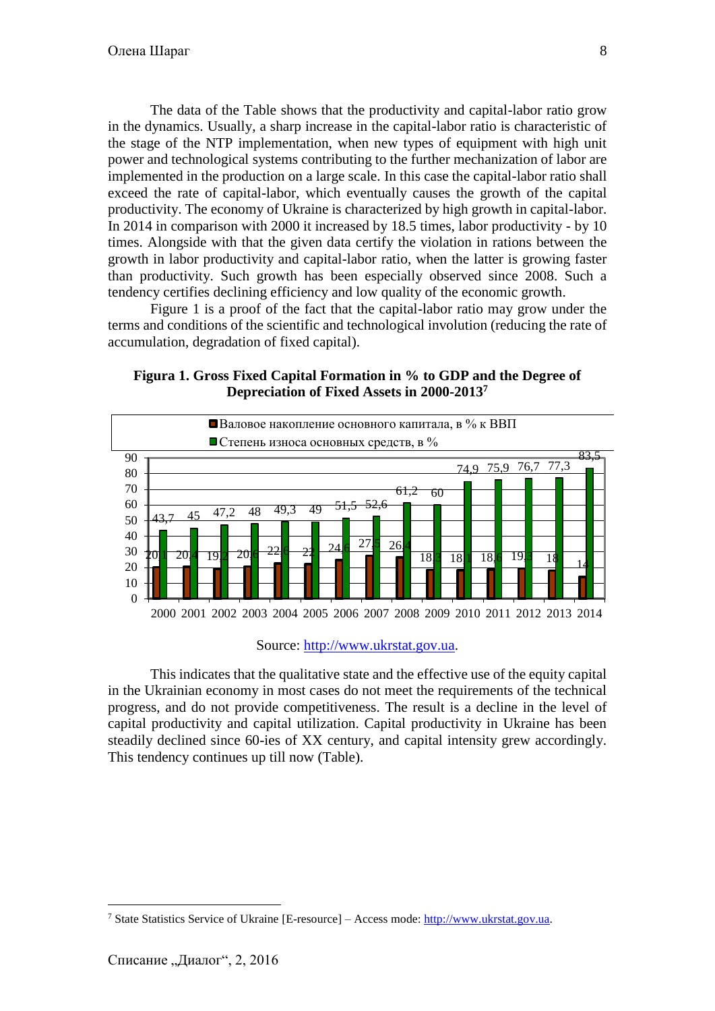The data of the Table shows that the productivity and capital-labor ratio grow in the dynamics. Usually, a sharp increase in the capital-labor ratio is characteristic of the stage of the NTP implementation, when new types of equipment with high unit power and technological systems contributing to the further mechanization of labor are implemented in the production on a large scale. In this case the capital-labor ratio shall exceed the rate of capital-labor, which eventually causes the growth of the capital productivity. The economy of Ukraine is characterized by high growth in capital-labor. In 2014 in comparison with 2000 it increased by 18.5 times, labor productivity - by 10 times. Alongside with that the given data certify the violation in rations between the growth in labor productivity and capital-labor ratio, when the latter is growing faster than productivity. Such growth has been especially observed since 2008. Such a tendency certifies declining efficiency and low quality of the economic growth.

Figure 1 is a proof of the fact that the capital-labor ratio may grow under the terms and conditions of the scientific and technological involution (reducing the rate of accumulation, degradation of fixed capital).

### **Figura 1. Gross Fixed Capital Formation in % to GDP and the Degree of Depreciation of Fixed Assets in 2000-2013<sup>7</sup>**



#### Source: [http://www.ukrstat.gov.ua.](http://www.ukrstat.gov.ua/)

This indicates that the qualitative state and the effective use of the equity capital in the Ukrainian economy in most cases do not meet the requirements of the technical progress, and do not provide competitiveness. The result is a decline in the level of capital productivity and capital utilization. Capital productivity in Ukraine has been steadily declined since 60-ies of XX century, and capital intensity grew accordingly. This tendency continues up till now (Table).

<sup>7</sup> State Statistics Service of Ukraine [E-resource] – Access mode: [http://www.ukrstat.gov.ua.](http://www.ukrstat.gov.ua/)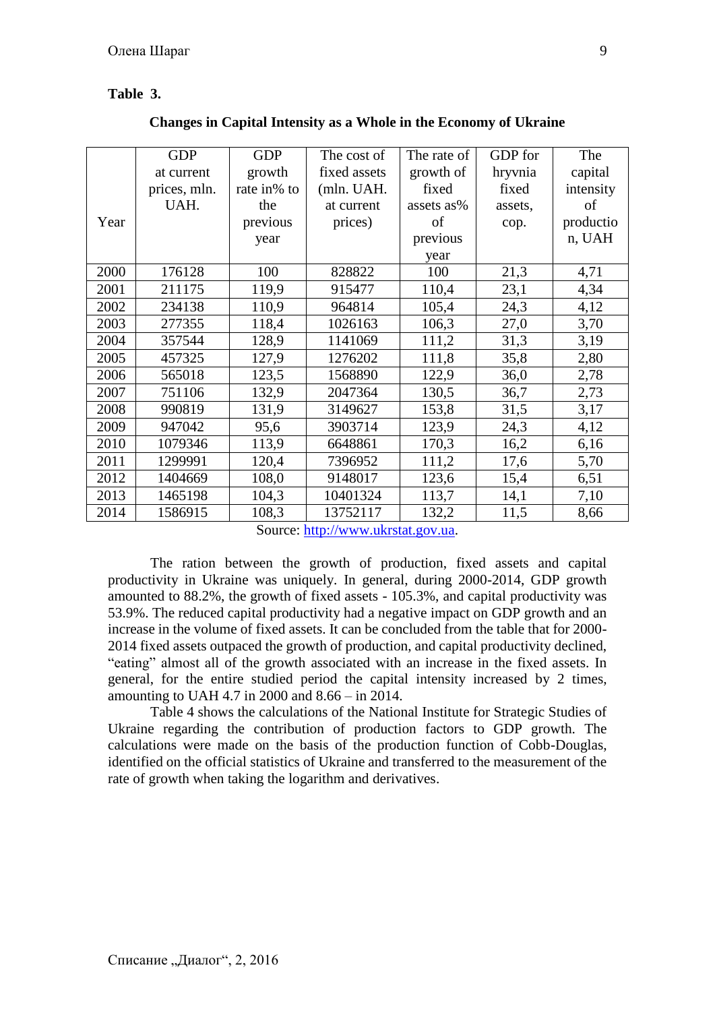## **Table 3.**

|  | Changes in Capital Intensity as a Whole in the Economy of Ukraine |  |  |
|--|-------------------------------------------------------------------|--|--|
|  |                                                                   |  |  |

|      | <b>GDP</b>   | <b>GDP</b>  | The cost of  | The rate of | GDP for | The       |
|------|--------------|-------------|--------------|-------------|---------|-----------|
|      | at current   | growth      | fixed assets | growth of   | hryvnia | capital   |
|      | prices, mln. | rate in% to | (mln. UAH.   | fixed       | fixed   | intensity |
|      | UAH.         | the         | at current   | assets as%  | assets, | of        |
| Year |              | previous    | prices)      | of          |         | productio |
|      |              |             |              |             | cop.    |           |
|      |              | year        |              | previous    |         | n, UAH    |
|      |              |             |              | year        |         |           |
| 2000 | 176128       | 100         | 828822       | 100         | 21,3    | 4,71      |
| 2001 | 211175       | 119,9       | 915477       | 110,4       | 23,1    | 4,34      |
| 2002 | 234138       | 110,9       | 964814       | 105,4       | 24,3    | 4,12      |
| 2003 | 277355       | 118,4       | 1026163      | 106,3       | 27,0    | 3,70      |
| 2004 | 357544       | 128,9       | 1141069      | 111,2       | 31,3    | 3,19      |
| 2005 | 457325       | 127,9       | 1276202      | 111,8       | 35,8    | 2,80      |
| 2006 | 565018       | 123,5       | 1568890      | 122,9       | 36,0    | 2,78      |
| 2007 | 751106       | 132,9       | 2047364      | 130,5       | 36,7    | 2,73      |
| 2008 | 990819       | 131,9       | 3149627      | 153,8       | 31,5    | 3,17      |
| 2009 | 947042       | 95,6        | 3903714      | 123,9       | 24,3    | 4,12      |
| 2010 | 1079346      | 113,9       | 6648861      | 170,3       | 16,2    | 6,16      |
| 2011 | 1299991      | 120,4       | 7396952      | 111,2       | 17,6    | 5,70      |
| 2012 | 1404669      | 108,0       | 9148017      | 123,6       | 15,4    | 6,51      |
| 2013 | 1465198      | 104,3       | 10401324     | 113,7       | 14,1    | 7,10      |
| 2014 | 1586915      | 108,3       | 13752117     | 132,2       | 11,5    | 8,66      |

Source: [http://www.ukrstat.gov.ua.](http://www.ukrstat.gov.ua/)

The ration between the growth of production, fixed assets and capital productivity in Ukraine was uniquely. In general, during 2000-2014, GDP growth amounted to 88.2%, the growth of fixed assets - 105.3%, and capital productivity was 53.9%. The reduced capital productivity had a negative impact on GDP growth and an increase in the volume of fixed assets. It can be concluded from the table that for 2000- 2014 fixed assets outpaced the growth of production, and capital productivity declined, "eating" almost all of the growth associated with an increase in the fixed assets. In general, for the entire studied period the capital intensity increased by 2 times, amounting to UAH 4.7 in 2000 and 8.66 – in 2014.

Table 4 shows the calculations of the National Institute for Strategic Studies of Ukraine regarding the contribution of production factors to GDP growth. The calculations were made on the basis of the production function of Cobb-Douglas, identified on the official statistics of Ukraine and transferred to the measurement of the rate of growth when taking the logarithm and derivatives.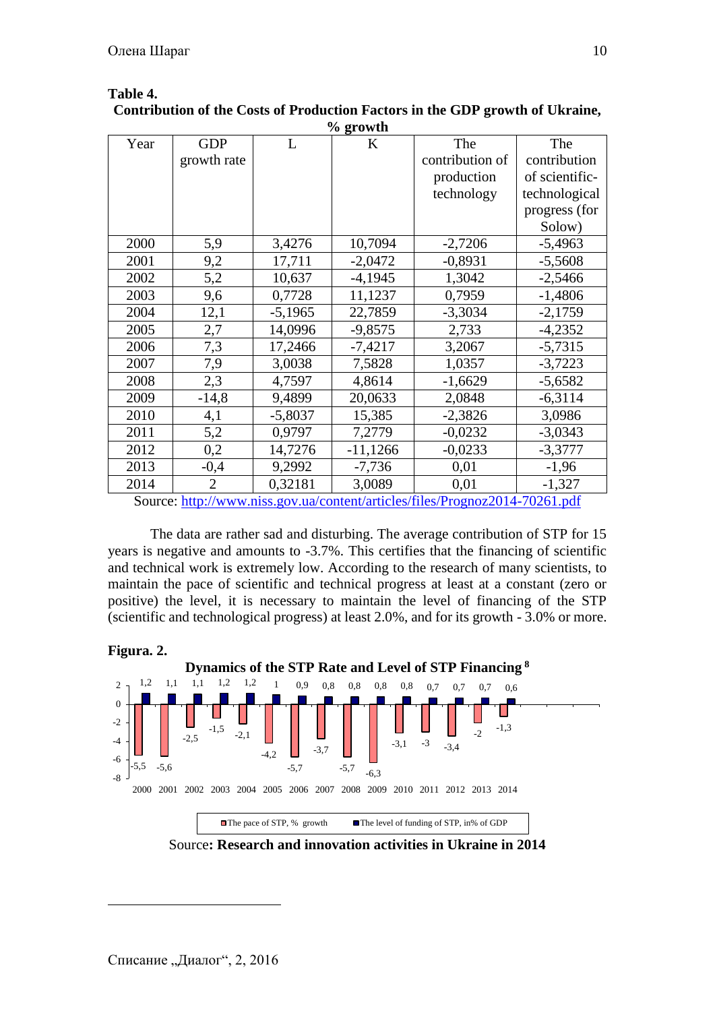| % growth                                                                    |                |           |            |                 |                |  |  |
|-----------------------------------------------------------------------------|----------------|-----------|------------|-----------------|----------------|--|--|
| Year                                                                        | <b>GDP</b>     | L         | K          | The             | The            |  |  |
|                                                                             | growth rate    |           |            | contribution of | contribution   |  |  |
|                                                                             |                |           |            | production      | of scientific- |  |  |
|                                                                             |                |           |            | technology      | technological  |  |  |
|                                                                             |                |           |            |                 | progress (for  |  |  |
|                                                                             |                |           |            |                 | Solow)         |  |  |
| 2000                                                                        | 5,9            | 3,4276    | 10,7094    | $-2,7206$       | $-5,4963$      |  |  |
| 2001                                                                        | 9,2            | 17,711    | $-2,0472$  | $-0,8931$       | $-5,5608$      |  |  |
| 2002                                                                        | 5,2            | 10,637    | $-4,1945$  | 1,3042          | $-2,5466$      |  |  |
| 2003                                                                        | 9,6            | 0,7728    | 11,1237    | 0,7959          | $-1,4806$      |  |  |
| 2004                                                                        | 12,1           | $-5,1965$ | 22,7859    | $-3,3034$       | $-2,1759$      |  |  |
| 2005                                                                        | 2,7            | 14,0996   | $-9,8575$  | 2,733           | $-4,2352$      |  |  |
| 2006                                                                        | 7,3            | 17,2466   | $-7,4217$  | 3,2067          | $-5,7315$      |  |  |
| 2007                                                                        | 7,9            | 3,0038    | 7,5828     | 1,0357          | $-3,7223$      |  |  |
| 2008                                                                        | 2,3            | 4,7597    | 4,8614     | $-1,6629$       | $-5,6582$      |  |  |
| 2009                                                                        | $-14,8$        | 9,4899    | 20,0633    | 2,0848          | $-6,3114$      |  |  |
| 2010                                                                        | 4,1            | $-5,8037$ | 15,385     | $-2,3826$       | 3,0986         |  |  |
| 2011                                                                        | 5,2            | 0,9797    | 7,2779     | $-0,0232$       | $-3,0343$      |  |  |
| 2012                                                                        | 0,2            | 14,7276   | $-11,1266$ | $-0,0233$       | $-3,3777$      |  |  |
| 2013                                                                        | $-0,4$         | 9,2992    | $-7,736$   | 0,01            | $-1,96$        |  |  |
| 2014                                                                        | $\overline{2}$ | 0,32181   | 3,0089     | 0,01            | $-1,327$       |  |  |
| Source: http://www.niss.gov.ua/content/articles/files/Prognoz2014-70261.pdf |                |           |            |                 |                |  |  |

# **Table 4. Contribution of the Costs of Production Factors in the GDP growth of Ukraine,**

The data are rather sad and disturbing. The average contribution of STP for 15 years is negative and amounts to -3.7%. This certifies that the financing of scientific and technical work is extremely low. According to the research of many scientists, to maintain the pace of scientific and technical progress at least at a constant (zero or positive) the level, it is necessary to maintain the level of financing of the STP

(scientific and technological progress) at least 2.0%, and for its growth - 3.0% or more.



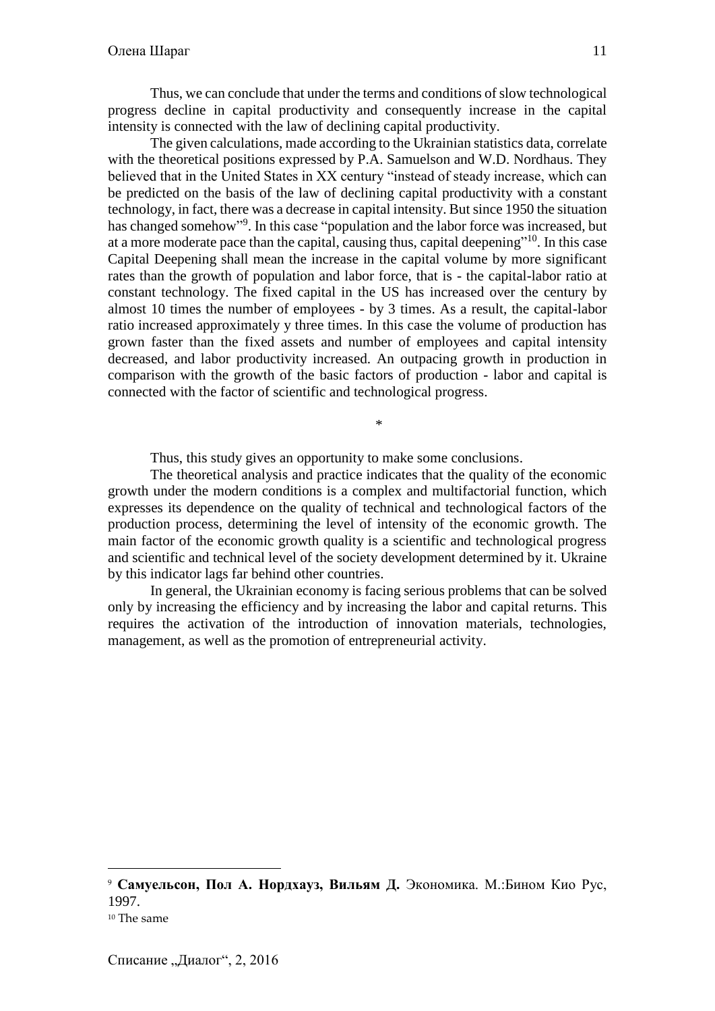Thus, we can conclude that under the terms and conditions of slow technological progress decline in capital productivity and consequently increase in the capital intensity is connected with the law of declining capital productivity.

The given calculations, made according to the Ukrainian statistics data, correlate with the theoretical positions expressed by P.A. Samuelson and W.D. Nordhaus. They believed that in the United States in XX century "instead of steady increase, which can be predicted on the basis of the law of declining capital productivity with a constant technology, in fact, there was a decrease in capital intensity. But since 1950 the situation has changed somehow"<sup>9</sup>. In this case "population and the labor force was increased, but at a more moderate pace than the capital, causing thus, capital deepening"<sup>10</sup>. In this case Capital Deepening shall mean the increase in the capital volume by more significant rates than the growth of population and labor force, that is - the capital-labor ratio at constant technology. The fixed capital in the US has increased over the century by almost 10 times the number of employees - by 3 times. As a result, the capital-labor ratio increased approximately y three times. In this case the volume of production has grown faster than the fixed assets and number of employees and capital intensity decreased, and labor productivity increased. An outpacing growth in production in comparison with the growth of the basic factors of production - labor and capital is connected with the factor of scientific and technological progress.

Thus, this study gives an opportunity to make some conclusions.

The theoretical analysis and practice indicates that the quality of the economic growth under the modern conditions is a complex and multifactorial function, which expresses its dependence on the quality of technical and technological factors of the production process, determining the level of intensity of the economic growth. The main factor of the economic growth quality is a scientific and technological progress and scientific and technical level of the society development determined by it. Ukraine by this indicator lags far behind other countries.

\*

In general, the Ukrainian economy is facing serious problems that can be solved only by increasing the efficiency and by increasing the labor and capital returns. This requires the activation of the introduction of innovation materials, technologies, management, as well as the promotion of entrepreneurial activity.

 $\overline{a}$ 

<sup>9</sup> **Самуельсон, Пол А. Нордхауз, Вильям Д.** Экономика. М.:Бином Кио Рус, 1997.

<sup>10</sup> The same